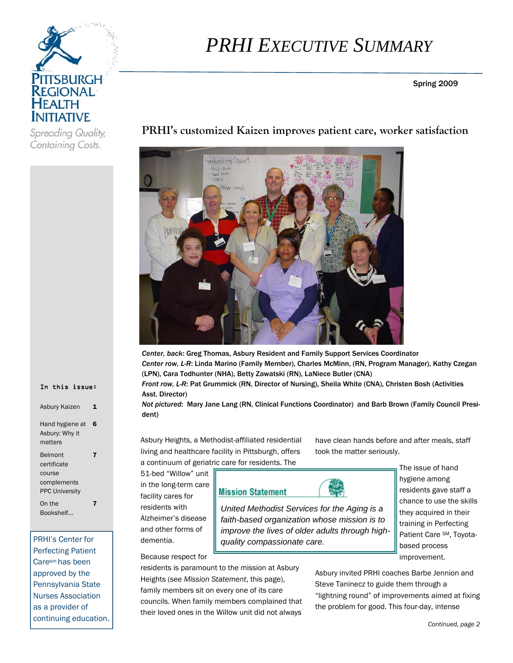

Containing Costs.

*PRHI EXECUTIVE SUMMARY*

Spring 2009

tanduxshing Opport  $+46 - 5m4$ 

**PRHI's customized Kaizen improves patient care, worker satisfaction** 

*Center, back*: Greg Thomas, Asbury Resident and Family Support Services Coordinator *Center row, L-R*: Linda Marino (Family Member), Charles McMinn, (RN, Program Manager), Kathy Czegan (LPN), Cara Todhunter (NHA), Betty Zawatski (RN), LaNiece Butler (CNA)

*Front row, L-R*: Pat Grummick (RN, Director of Nursing), Sheila White (CNA), Christen Bosh (Activities Asst. Director)

> *faith-based organization whose mission is to improve the lives of older adults through high-*

*Not pictured*: Mary Jane Lang (RN, Clinical Functions Coordinator) and Barb Brown (Family Council President)

Asbury Heights, a Methodist-affiliated residential living and healthcare facility in Pittsburgh, offers a continuum of geriatric care for residents. The

51-bed "Willow" unit in the long-term care facility cares for residents with Alzheimer's disease and other forms of dementia.

Because respect for

residents is paramount to the mission at Asbury Heights (see *Mission Statement*, this page), family members sit on every one of its care councils. When family members complained that their loved ones in the Willow unit did not always

have clean hands before and after meals, staff took the matter seriously.

**Mission Statement** 

*quality compassionate care.* 

The issue of hand

*United Methodist Services for the Aging is a* 

hygiene among residents gave staff a chance to use the skills they acquired in their training in Perfecting Patient Care SM, Toyotabased process improvement.

Asbury invited PRHI coaches Barbe Jennion and Steve Taninecz to guide them through a "lightning round" of improvements aimed at fixing the problem for good. This four-day, intense

#### In this issue:

| Asbury Kaizen                                                                   |   |
|---------------------------------------------------------------------------------|---|
| Hand hygiene at<br>Asbury: Why it<br>matters                                    | 6 |
| <b>Belmont</b><br>certificate<br>course<br>complements<br><b>PPC University</b> |   |
| On the<br>Bookshelf                                                             |   |

PRHI's Center for Perfecting Patient Caresm has been approved by the Pennsylvania State Nurses Association as a provider of continuing education.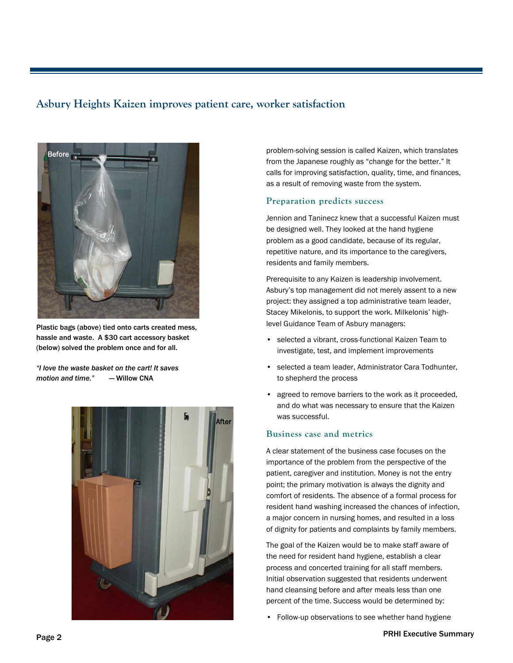## **Asbury Heights Kaizen improves patient care, worker satisfaction**



Plastic bags (above) tied onto carts created mess, hassle and waste. A \$30 cart accessory basket (below) solved the problem once and for all.

*"I love the waste basket on the cart! It saves motion and time."* — Willow CNA



problem-solving session is called Kaizen, which translates from the Japanese roughly as "change for the better." It calls for improving satisfaction, quality, time, and finances, as a result of removing waste from the system.

### **Preparation predicts success**

Jennion and Taninecz knew that a successful Kaizen must be designed well. They looked at the hand hygiene problem as a good candidate, because of its regular, repetitive nature, and its importance to the caregivers, residents and family members.

Prerequisite to any Kaizen is leadership involvement. Asbury's top management did not merely assent to a new project: they assigned a top administrative team leader, Stacey Mikelonis, to support the work. Milkelonis' highlevel Guidance Team of Asbury managers:

- selected a vibrant, cross-functional Kaizen Team to investigate, test, and implement improvements
- selected a team leader, Administrator Cara Todhunter, to shepherd the process
- agreed to remove barriers to the work as it proceeded, and do what was necessary to ensure that the Kaizen was successful.

## **Business case and metrics**

A clear statement of the business case focuses on the importance of the problem from the perspective of the patient, caregiver and institution. Money is not the entry point; the primary motivation is always the dignity and comfort of residents. The absence of a formal process for resident hand washing increased the chances of infection, a major concern in nursing homes, and resulted in a loss of dignity for patients and complaints by family members.

The goal of the Kaizen would be to make staff aware of the need for resident hand hygiene, establish a clear process and concerted training for all staff members. Initial observation suggested that residents underwent hand cleansing before and after meals less than one percent of the time. Success would be determined by:

• Follow-up observations to see whether hand hygiene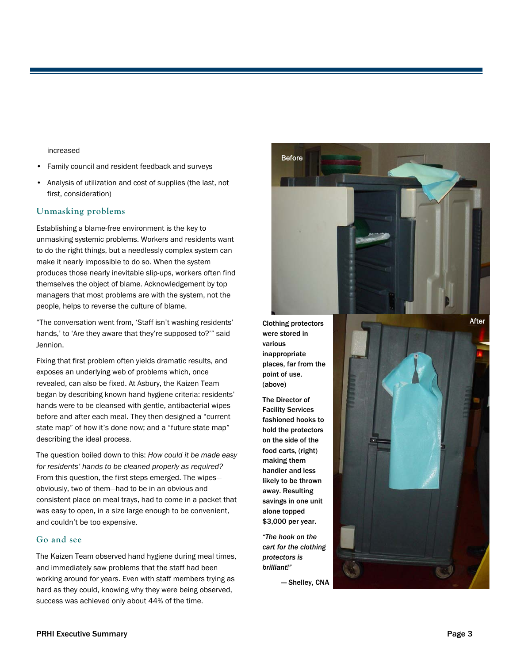increased

- Family council and resident feedback and surveys
- Analysis of utilization and cost of supplies (the last, not first, consideration)

### **Unmasking problems**

Establishing a blame-free environment is the key to unmasking systemic problems. Workers and residents want to do the right things, but a needlessly complex system can make it nearly impossible to do so. When the system produces those nearly inevitable slip-ups, workers often find themselves the object of blame. Acknowledgement by top managers that most problems are with the system, not the people, helps to reverse the culture of blame.

"The conversation went from, 'Staff isn't washing residents' hands,' to 'Are they aware that they're supposed to?'" said Jennion.

Fixing that first problem often yields dramatic results, and exposes an underlying web of problems which, once revealed, can also be fixed. At Asbury, the Kaizen Team began by describing known hand hygiene criteria: residents' hands were to be cleansed with gentle, antibacterial wipes before and after each meal. They then designed a "current state map" of how it's done now; and a "future state map" describing the ideal process.

The question boiled down to this: *How could it be made easy for residents' hands to be cleaned properly as required?* From this question, the first steps emerged. The wipes obviously, two of them—had to be in an obvious and consistent place on meal trays, had to come in a packet that was easy to open, in a size large enough to be convenient, and couldn't be too expensive.

### **Go and see**

The Kaizen Team observed hand hygiene during meal times, and immediately saw problems that the staff had been working around for years. Even with staff members trying as hard as they could, knowing why they were being observed, success was achieved only about 44% of the time.



Clothing protectors were stored in various inappropriate places, far from the point of use. (above)

The Director of Facility Services fashioned hooks to hold the protectors on the side of the food carts, (right) making them handier and less likely to be thrown away. Resulting savings in one unit alone topped \$3,000 per year.

*"The hook on the cart for the clothing protectors is brilliant!"* 

— Shelley, CNA

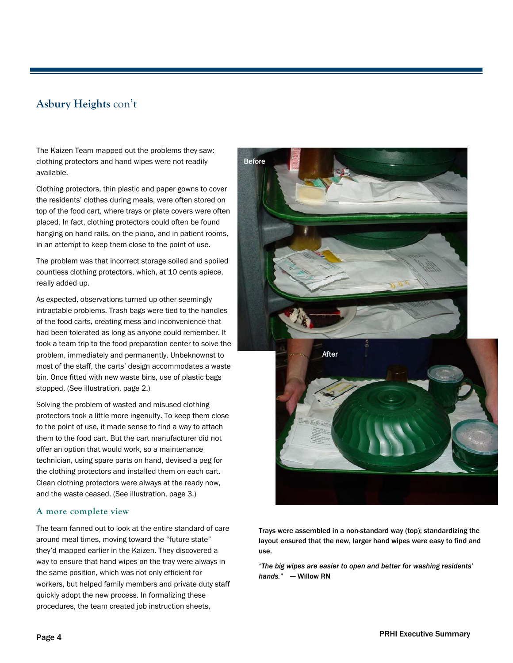# **Asbury Heights** con't

The Kaizen Team mapped out the problems they saw: clothing protectors and hand wipes were not readily available.

Clothing protectors, thin plastic and paper gowns to cover the residents' clothes during meals, were often stored on top of the food cart, where trays or plate covers were often placed. In fact, clothing protectors could often be found hanging on hand rails, on the piano, and in patient rooms, in an attempt to keep them close to the point of use.

The problem was that incorrect storage soiled and spoiled countless clothing protectors, which, at 10 cents apiece, really added up.

As expected, observations turned up other seemingly intractable problems. Trash bags were tied to the handles of the food carts, creating mess and inconvenience that had been tolerated as long as anyone could remember. It took a team trip to the food preparation center to solve the problem, immediately and permanently. Unbeknownst to most of the staff, the carts' design accommodates a waste bin. Once fitted with new waste bins, use of plastic bags stopped. (See illustration, page 2.)

Solving the problem of wasted and misused clothing protectors took a little more ingenuity. To keep them close to the point of use, it made sense to find a way to attach them to the food cart. But the cart manufacturer did not offer an option that would work, so a maintenance technician, using spare parts on hand, devised a peg for the clothing protectors and installed them on each cart. Clean clothing protectors were always at the ready now, and the waste ceased. (See illustration, page 3.)

#### **A more complete view**

The team fanned out to look at the entire standard of care around meal times, moving toward the "future state" they'd mapped earlier in the Kaizen. They discovered a way to ensure that hand wipes on the tray were always in the same position, which was not only efficient for workers, but helped family members and private duty staff quickly adopt the new process. In formalizing these procedures, the team created job instruction sheets,



Trays were assembled in a non-standard way (top); standardizing the layout ensured that the new, larger hand wipes were easy to find and use.

*"The big wipes are easier to open and better for washing residents' hands."* — Willow RN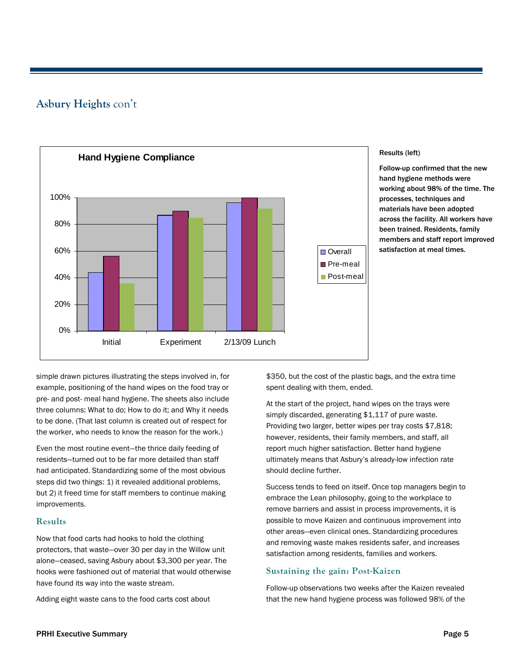## **Asbury Heights** con't



#### Results (left)

Follow-up confirmed that the new hand hygiene methods were working about 98% of the time. The processes, techniques and materials have been adopted across the facility. All workers have been trained. Residents, family members and staff report improved satisfaction at meal times.

simple drawn pictures illustrating the steps involved in, for example, positioning of the hand wipes on the food tray or pre- and post- meal hand hygiene. The sheets also include three columns: What to do; How to do it; and Why it needs to be done. (That last column is created out of respect for the worker, who needs to know the reason for the work.)

Even the most routine event—the thrice daily feeding of residents—turned out to be far more detailed than staff had anticipated. Standardizing some of the most obvious steps did two things: 1) it revealed additional problems, but 2) it freed time for staff members to continue making improvements.

## **Results**

Now that food carts had hooks to hold the clothing protectors, that waste—over 30 per day in the Willow unit alone—ceased, saving Asbury about \$3,300 per year. The hooks were fashioned out of material that would otherwise have found its way into the waste stream.

Adding eight waste cans to the food carts cost about

\$350, but the cost of the plastic bags, and the extra time spent dealing with them, ended.

At the start of the project, hand wipes on the trays were simply discarded, generating \$1,117 of pure waste. Providing two larger, better wipes per tray costs \$7,818; however, residents, their family members, and staff, all report much higher satisfaction. Better hand hygiene ultimately means that Asbury's already-low infection rate should decline further.

Success tends to feed on itself. Once top managers begin to embrace the Lean philosophy, going to the workplace to remove barriers and assist in process improvements, it is possible to move Kaizen and continuous improvement into other areas—even clinical ones. Standardizing procedures and removing waste makes residents safer, and increases satisfaction among residents, families and workers.

## **Sustaining the gain: Post-Kaizen**

Follow-up observations two weeks after the Kaizen revealed that the new hand hygiene process was followed 98% of the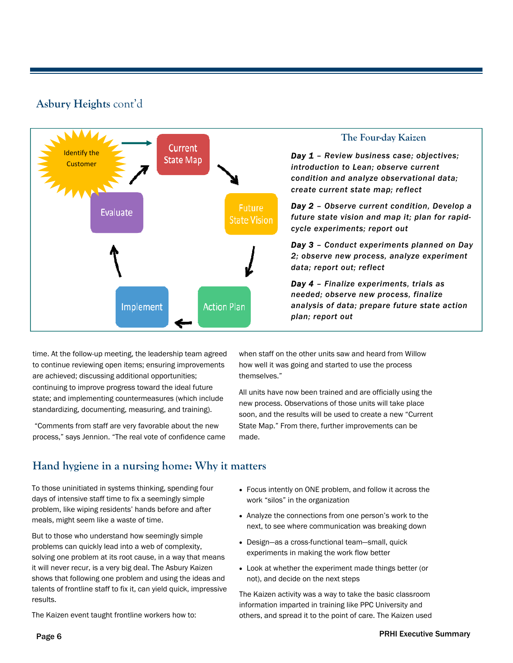## **Asbury Heights** cont'd



## **The Four-day Kaizen**

*Day 1 – Review business case; objectives; introduction to Lean; observe current condition and analyze observational data; create current state map; reflect* 

*Day 2 – Observe current condition, Develop a future state vision and map it; plan for rapidcycle experiments; report out* 

*Day 3 – Conduct experiments planned on Day 2; observe new process, analyze experiment data; report out; reflect* 

*Day 4 – Finalize experiments, trials as needed; observe new process, finalize analysis of data; prepare future state action plan; report out* 

time. At the follow-up meeting, the leadership team agreed to continue reviewing open items; ensuring improvements are achieved; discussing additional opportunities; continuing to improve progress toward the ideal future state; and implementing countermeasures (which include standardizing, documenting, measuring, and training).

 "Comments from staff are very favorable about the new process," says Jennion. "The real vote of confidence came when staff on the other units saw and heard from Willow how well it was going and started to use the process themselves."

All units have now been trained and are officially using the new process. Observations of those units will take place soon, and the results will be used to create a new "Current State Map." From there, further improvements can be made.

# **Hand hygiene in a nursing home: Why it matters**

To those uninitiated in systems thinking, spending four days of intensive staff time to fix a seemingly simple problem, like wiping residents' hands before and after meals, might seem like a waste of time.

But to those who understand how seemingly simple problems can quickly lead into a web of complexity, solving one problem at its root cause, in a way that means it will never recur, is a very big deal. The Asbury Kaizen shows that following one problem and using the ideas and talents of frontline staff to fix it, can yield quick, impressive results.

- Focus intently on ONE problem, and follow it across the work "silos" in the organization
- Analyze the connections from one person's work to the next, to see where communication was breaking down
- Design—as a cross-functional team—small, quick experiments in making the work flow better
- Look at whether the experiment made things better (or not), and decide on the next steps

The Kaizen activity was a way to take the basic classroom information imparted in training like PPC University and others, and spread it to the point of care. The Kaizen used

The Kaizen event taught frontline workers how to: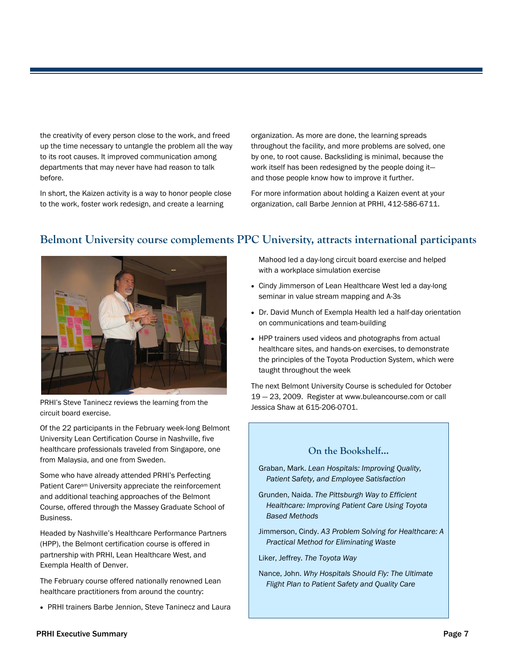the creativity of every person close to the work, and freed up the time necessary to untangle the problem all the way to its root causes. It improved communication among departments that may never have had reason to talk before.

In short, the Kaizen activity is a way to honor people close to the work, foster work redesign, and create a learning

organization. As more are done, the learning spreads throughout the facility, and more problems are solved, one by one, to root cause. Backsliding is minimal, because the work itself has been redesigned by the people doing it and those people know how to improve it further.

For more information about holding a Kaizen event at your organization, call Barbe Jennion at PRHI, 412-586-6711.



# **Belmont University course complements PPC University, attracts international participants**

PRHI's Steve Taninecz reviews the learning from the circuit board exercise.

Of the 22 participants in the February week-long Belmont University Lean Certification Course in Nashville, five healthcare professionals traveled from Singapore, one from Malaysia, and one from Sweden.

Some who have already attended PRHI's Perfecting Patient Caresm University appreciate the reinforcement and additional teaching approaches of the Belmont Course, offered through the Massey Graduate School of Business.

Headed by Nashville's Healthcare Performance Partners (HPP), the Belmont certification course is offered in partnership with PRHI, Lean Healthcare West, and Exempla Health of Denver.

The February course offered nationally renowned Lean healthcare practitioners from around the country:

PRHI trainers Barbe Jennion, Steve Taninecz and Laura

Mahood led a day-long circuit board exercise and helped with a workplace simulation exercise

- Cindy Jimmerson of Lean Healthcare West led a day-long seminar in value stream mapping and A-3s
- Dr. David Munch of Exempla Health led a half-day orientation on communications and team-building
- HPP trainers used videos and photographs from actual healthcare sites, and hands-on exercises, to demonstrate the principles of the Toyota Production System, which were taught throughout the week

The next Belmont University Course is scheduled for October 19 — 23, 2009. Register at www.buleancourse.com or call Jessica Shaw at 615-206-0701.

## **On the Bookshelf...**

- Graban, Mark. *Lean Hospitals: Improving Quality, Patient Safety, and Employee Satisfaction*
- Grunden, Naida. *The Pittsburgh Way to Efficient Healthcare: Improving Patient Care Using Toyota Based Methods*
- Jimmerson, Cindy. *A3 Problem Solving for Healthcare: A Practical Method for Eliminating Waste*
- Liker, Jeffrey. *The Toyota Way*
- Nance, John. *Why Hospitals Should Fly: The Ultimate Flight Plan to Patient Safety and Quality Care*